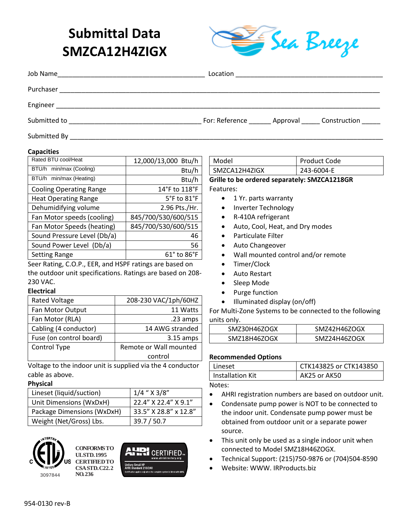# **Submittal Data SMZCA12H4ZIGX**



| Job Name<br><u> 1980 - Johann Stein, mars an de Francisco (f. 1980)</u> |                                                     |
|-------------------------------------------------------------------------|-----------------------------------------------------|
| Purchaser                                                               |                                                     |
| Engineer                                                                |                                                     |
| Submitted to                                                            | For: Reference _______ Approval ______ Construction |
| Submitted By                                                            |                                                     |

#### **Capacities**

| Rated BTU cool/Heat            | 12,000/13,000 Btu/h            |  |
|--------------------------------|--------------------------------|--|
| BTU/h min/max (Cooling)        | Btu/h                          |  |
| BTU/h min/max (Heating)        | Btu/h                          |  |
| <b>Cooling Operating Range</b> | 14°F to 118°F                  |  |
| <b>Heat Operating Range</b>    | 5°F to 81°F                    |  |
| Dehumidifying volume           | 2.96 Pts./Hr.                  |  |
| Fan Motor speeds (cooling)     | 845/700/530/600/515            |  |
| Fan Motor Speeds (heating)     | 845/700/530/600/515            |  |
| Sound Pressure Level (Db/a)    | 46                             |  |
| Sound Power Level (Db/a)       | 56                             |  |
| <b>Setting Range</b>           | $61^{\circ}$ to $86^{\circ}$ F |  |
|                                |                                |  |

Seer Rating, C.O.P., EER, and HSPF ratings are based on the outdoor unit specifications. Ratings are based on 208- 230 VAC.

#### **Electrical**

| <b>Rated Voltage</b>    | 208-230 VAC/1ph/60HZ   |
|-------------------------|------------------------|
| Fan Motor Output        | 11 Watts               |
| Fan Motor (RLA)         | .23 amps               |
| Cabling (4 conductor)   | 14 AWG stranded        |
| Fuse (on control board) | $3.15$ amps            |
| Control Type            | Remote or Wall mounted |
|                         | control                |

Voltage to the indoor unit is supplied via the 4 conductor cable as above.

#### **Physical**

| Lineset (liquid/suction)   | $1/4$ " $\times$ 3/8" |
|----------------------------|-----------------------|
| Unit Dimensions (WxDxH)    | 22.4" X 22.4" X 9.1"  |
| Package Dimensions (WxDxH) | 33.5" X 28.8" x 12.8" |
| Weight (Net/Gross) Lbs.    | 39.7 / 50.7           |



**NO. 236**



| Model                                        | Product Code |
|----------------------------------------------|--------------|
| SMZCA12H4ZIGX                                | 243-6004-E   |
| Grille to be ordered senarately: SM7CA1218GR |              |

Grille to be ordered separately: Sivi Features:

- 1 Yr. parts warranty
- Inverter Technology
- R-410A refrigerant
- Auto, Cool, Heat, and Dry modes
- Particulate Filter
- Auto Changeover
- Wall mounted control and/or remote
- Timer/Clock
- Auto Restart
- Sleep Mode
- Purge function
- Illuminated display (on/off)

For Multi-Zone Systems to be connected to the following units only.

| SMZ30H46ZOGX | SMZ42H46ZOGX |
|--------------|--------------|
| SMZ18H46ZOGX | SMZ24H46ZOGX |

#### **Recommended Options**

| Lineset          | CTK143825 or CTK143850 |
|------------------|------------------------|
| Installation Kit | AK25 or AK50           |

#### Notes:

- AHRI registration numbers are based on outdoor unit.
- Condensate pump power is NOT to be connected to the indoor unit. Condensate pump power must be obtained from outdoor unit or a separate power source.
- This unit only be used as a single indoor unit when connected to Model SMZ18H46ZOGX.
- Technical Support: (215)750-9876 or (704)504-8590
- Website: WWW. IRProducts.biz